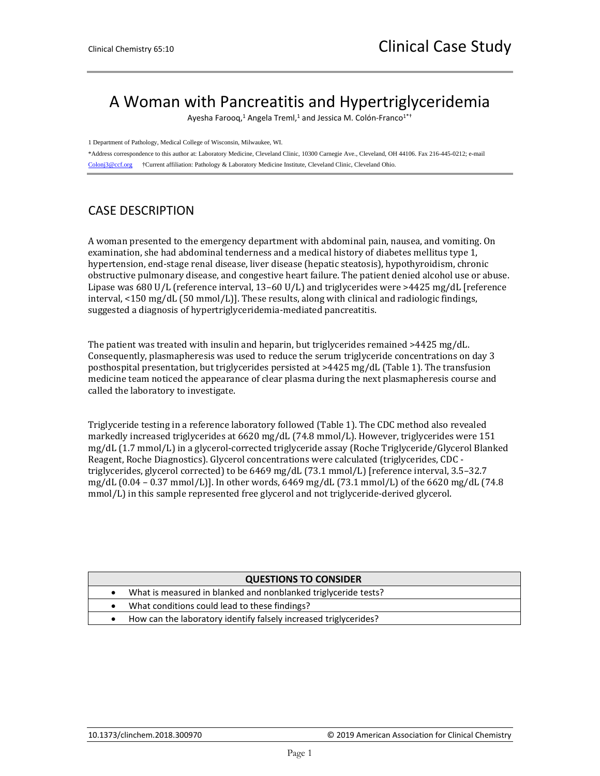## A Woman with Pancreatitis and Hypertriglyceridemia

Ayesha Farooq,<sup>1</sup> Angela Treml,<sup>1</sup> and Jessica M. Colón-Franco<sup>1\*†</sup>

1 Department of Pathology, Medical College of Wisconsin, Milwaukee, WI.

\*Address correspondence to this author at: Laboratory Medicine, Cleveland Clinic, 10300 Carnegie Ave., Cleveland, OH 44106. Fax 216-445-0212; e-mail [Colonj3@ccf.org](mailto:Colonj3@ccf.org) †Current affiliation: Pathology & Laboratory Medicine Institute, Cleveland Clinic, Cleveland Ohio.

## CASE DESCRIPTION

A woman presented to the emergency department with abdominal pain, nausea, and vomiting. On examination, she had abdominal tenderness and a medical history of diabetes mellitus type 1, hypertension, end-stage renal disease, liver disease (hepatic steatosis), hypothyroidism, chronic obstructive pulmonary disease, and congestive heart failure. The patient denied alcohol use or abuse. Lipase was 680 U/L (reference interval, 13–60 U/L) and triglycerides were >4425 mg/dL [reference interval, <150 mg/dL (50 mmol/L)]. These results, along with clinical and radiologic findings, suggested a diagnosis of hypertriglyceridemia-mediated pancreatitis.

The patient was treated with insulin and heparin, but triglycerides remained >4425 mg/dL. Consequently, plasmapheresis was used to reduce the serum triglyceride concentrations on day 3 posthospital presentation, but triglycerides persisted at >4425 mg/dL (Table 1). The transfusion medicine team noticed the appearance of clear plasma during the next plasmapheresis course and called the laboratory to investigate.

Triglyceride testing in a reference laboratory followed (Table 1). The CDC method also revealed markedly increased triglycerides at 6620 mg/dL (74.8 mmol/L). However, triglycerides were 151 mg/dL (1.7 mmol/L) in a glycerol-corrected triglyceride assay (Roche Triglyceride/Glycerol Blanked Reagent, Roche Diagnostics). Glycerol concentrations were calculated (triglycerides, CDC triglycerides, glycerol corrected) to be 6469 mg/dL (73.1 mmol/L) [reference interval, 3.5–32.7 mg/dL (0.04 – 0.37 mmol/L)]. In other words, 6469 mg/dL (73.1 mmol/L) of the 6620 mg/dL (74.8 mmol/L) in this sample represented free glycerol and not triglyceride-derived glycerol.

| <b>QUESTIONS TO CONSIDER</b> |                                                                  |  |  |  |  |  |
|------------------------------|------------------------------------------------------------------|--|--|--|--|--|
|                              | What is measured in blanked and nonblanked triglyceride tests?   |  |  |  |  |  |
|                              | What conditions could lead to these findings?                    |  |  |  |  |  |
|                              | How can the laboratory identify falsely increased triglycerides? |  |  |  |  |  |